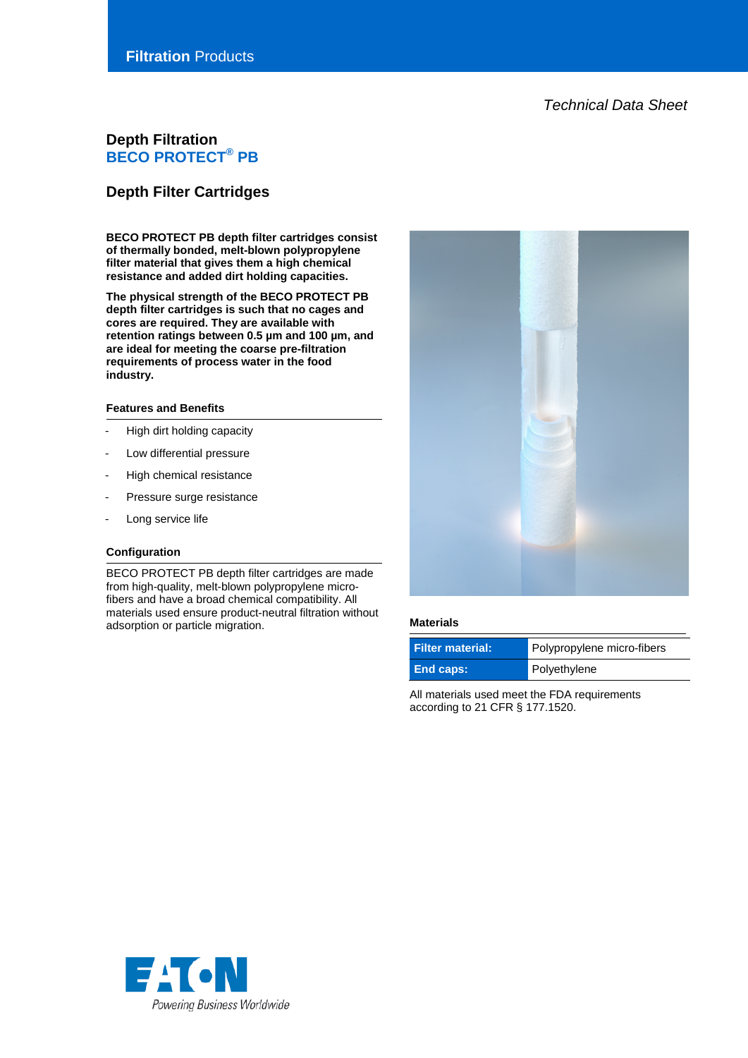*Technical Data Sheet*

# **Depth Filtration BECO PROTECT® PB**

# **Depth Filter Cartridges**

**BECO PROTECT PB depth filter cartridges consist of thermally bonded, melt-blown polypropylene filter material that gives them a high chemical resistance and added dirt holding capacities.**

**The physical strength of the BECO PROTECT PB depth filter cartridges is such that no cages and cores are required. They are available with retention ratings between 0.5 µm and 100 µm, and are ideal for meeting the coarse pre-filtration requirements of process water in the food industry.**

#### **Features and Benefits**

- High dirt holding capacity
- Low differential pressure
- High chemical resistance
- Pressure surge resistance
- Long service life

#### **Configuration**

BECO PROTECT PB depth filter cartridges are made from high-quality, melt-blown polypropylene microfibers and have a broad chemical compatibility. All materials used ensure product-neutral filtration without adsorption or particle migration. **Materials**



| <b>Filter material:</b> ا | Polypropylene micro-fibers |
|---------------------------|----------------------------|
| End caps:                 | Polyethylene               |

All materials used meet the FDA requirements according to 21 CFR § 177.1520.

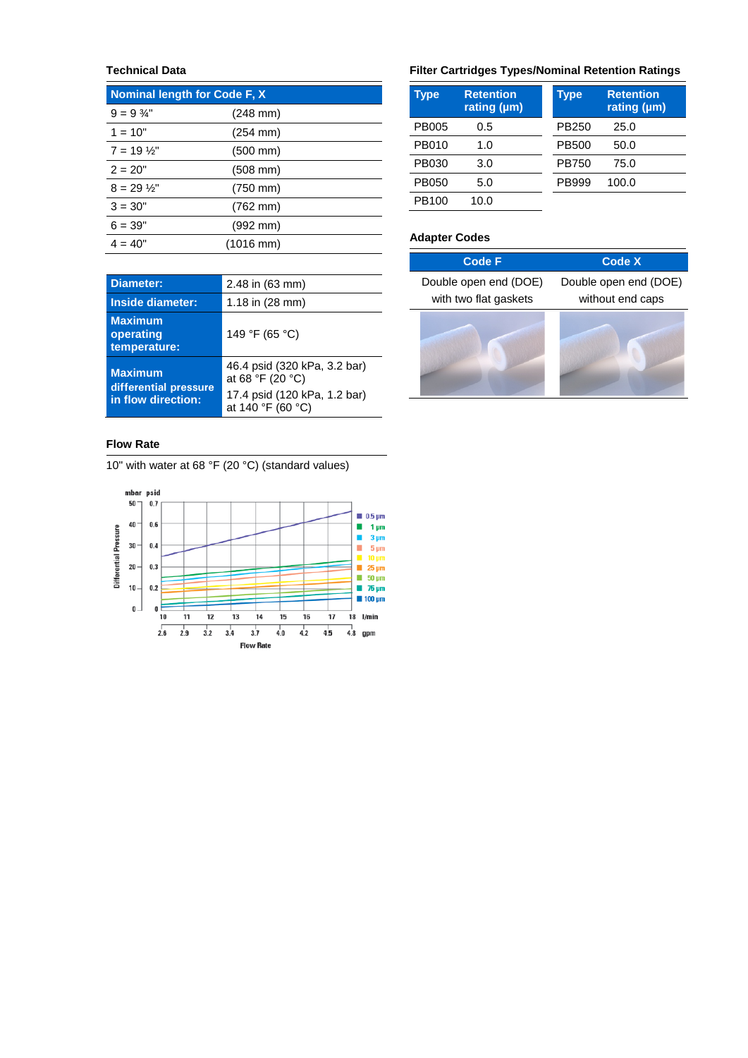# **Technical Data**

| <b>Nominal length for Code F, X</b> |                      |  |
|-------------------------------------|----------------------|--|
| $9 = 9\frac{3}{4}$ "                | $(248 \text{ mm})$   |  |
| $1 = 10"$                           | $(254 \, \text{mm})$ |  |
| $7 = 19\frac{1}{2}$                 | $(500 \, \text{mm})$ |  |
| $2 = 20"$                           | $(508 \, \text{mm})$ |  |
| $8 = 29\frac{1}{2}$                 | $(750 \, \text{mm})$ |  |
| $3 = 30"$                           | (762 mm)             |  |
| $6 = 39"$                           | $(992 \, \text{mm})$ |  |
| $4 = 40"$                           | (1016 mm)            |  |

| <b>Diameter:</b>                                              | 2.48 in (63 mm)                                                                                       |  |
|---------------------------------------------------------------|-------------------------------------------------------------------------------------------------------|--|
| Inside diameter:                                              | 1.18 in $(28 \text{ mm})$                                                                             |  |
| <b>Maximum</b><br>operating<br>temperature:                   | 149 °F (65 °C)                                                                                        |  |
| <b>Maximum</b><br>differential pressure<br>in flow direction: | 46.4 psid (320 kPa, 3.2 bar)<br>at 68 °F (20 °C)<br>17.4 psid (120 kPa, 1.2 bar)<br>at 140 °F (60 °C) |  |

## **Flow Rate**

10" with water at 68 °F (20 °C) (standard values)



## **Filter Cartridges Types/Nominal Retention Ratings**

| Type         | <b>Retention</b><br>rating (µm) | <b>Type</b>  | <b>Retention</b><br>rating (µm) |
|--------------|---------------------------------|--------------|---------------------------------|
| <b>PB005</b> | 0.5                             | PB250        | 25.0                            |
| PB010        | 1.0                             | <b>PB500</b> | 50.0                            |
| PB030        | 3.0                             | <b>PB750</b> | 75.0                            |
| PB050        | 5.0                             | PB999        | 100.0                           |
| PB100        | 10.0                            |              |                                 |

# **Adapter Codes**

| <b>Code F</b>         | <b>Code X</b>         |
|-----------------------|-----------------------|
| Double open end (DOE) | Double open end (DOE) |
| with two flat gaskets | without end caps      |
|                       |                       |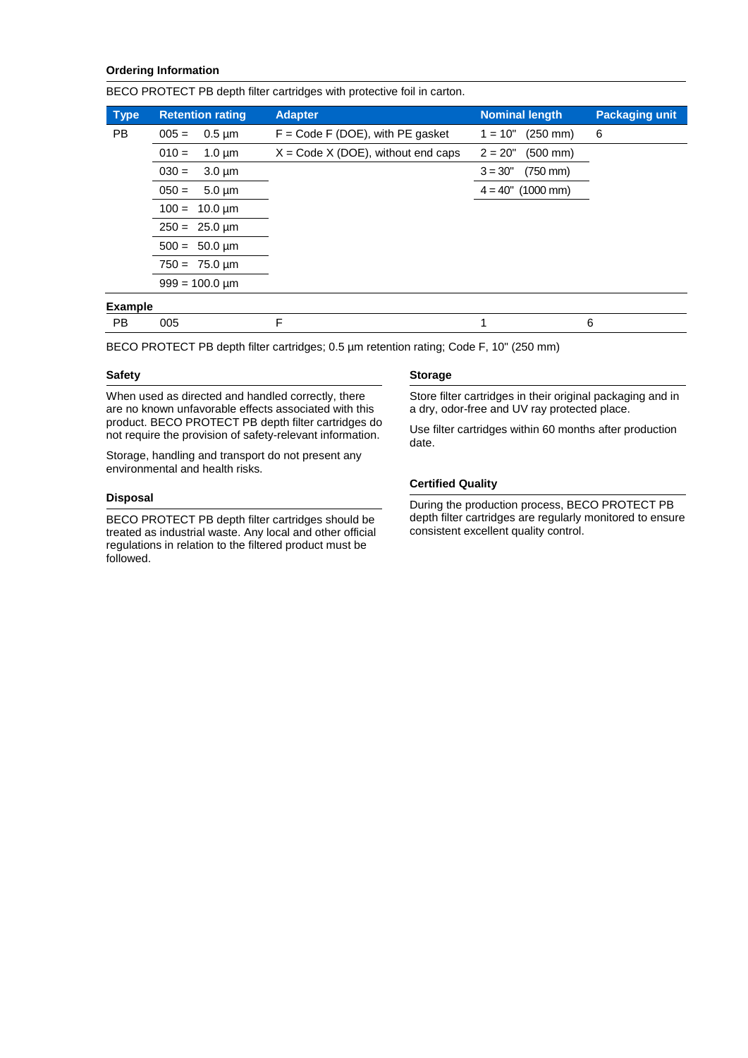## **Ordering Information**

BECO PROTECT PB depth filter cartridges with protective foil in carton.

| <b>Type</b>    | <b>Retention rating</b>  | <b>Adapter</b>                        | <b>Nominal length</b>             | <b>Packaging unit</b> |
|----------------|--------------------------|---------------------------------------|-----------------------------------|-----------------------|
| PB.            | $0.5 \mu m$<br>$005 =$   | $F = Code F (DOE)$ , with PE gasket   | $1 = 10"$<br>$(250 \, \text{mm})$ | 6                     |
|                | $010 =$<br>$1.0 \mu m$   | $X = Code X (DOE)$ , without end caps | $2 = 20"$<br>$(500 \, \text{mm})$ |                       |
|                | $030 =$<br>$3.0 \mu m$   |                                       | $3 = 30"$<br>$(750 \, \text{mm})$ |                       |
|                | $050 =$<br>$5.0 \mu m$   |                                       | $4 = 40^{\circ}$ (1000 mm)        |                       |
|                | $100 = 10.0 \,\text{µm}$ |                                       |                                   |                       |
|                | $250 = 25.0 \,\text{µm}$ |                                       |                                   |                       |
|                | $500 = 50.0 \,\text{µm}$ |                                       |                                   |                       |
|                | $750 = 75.0 \,\text{µm}$ |                                       |                                   |                       |
|                | $999 = 100.0 \text{ µm}$ |                                       |                                   |                       |
| <b>Example</b> |                          |                                       |                                   |                       |

BECO PROTECT PB depth filter cartridges; 0.5 µm retention rating; Code F, 10" (250 mm)

PB 005 F 1 6

#### **Safety**

When used as directed and handled correctly, there are no known unfavorable effects associated with this product. BECO PROTECT PB depth filter cartridges do not require the provision of safety-relevant information.

Storage, handling and transport do not present any environmental and health risks.

#### **Disposal**

BECO PROTECT PB depth filter cartridges should be treated as industrial waste. Any local and other official regulations in relation to the filtered product must be followed.

#### **Storage**

Store filter cartridges in their original packaging and in a dry, odor-free and UV ray protected place.

Use filter cartridges within 60 months after production date.

#### **Certified Quality**

During the production process, BECO PROTECT PB depth filter cartridges are regularly monitored to ensure consistent excellent quality control.